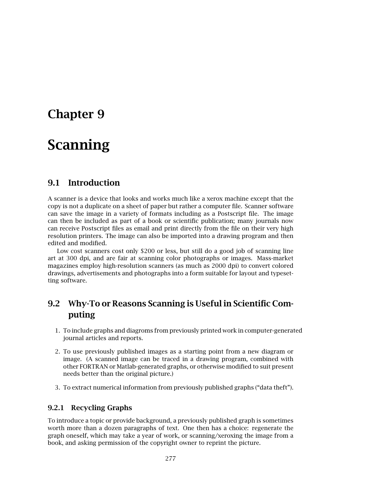# **Chapter 9**

# **Scanning**

# **9.1 Introduction**

A scanner is a device that looks and works much like a xerox machine except that the copy is not a duplicate on a sheet of paper but rather a computer file. Scanner software can save the image in a variety of formats including as a Postscript file. The image can then be included as part of a book or scientific publication; many journals now can receive Postscript files as email and print directly from the file on their very high resolution printers. The image can also be imported into a drawing program and then edited and modified.

Low cost scanners cost only \$200 or less, but still do a good job of scanning line art at 300 dpi, and are fair at scanning color photographs or images. Mass-market magazines employ high-resolution scanners (as much as 2000 dpi) to convert colored drawings, advertisements and photographs into a form suitable for layout and typesetting software.

# **9.2 Why-To or Reasons Scanning is Useful in Scientific Computing**

- 1. To include graphs and diagroms from previously printed work in computer-generated journal articles and reports.
- 2. To use previously published images as a starting point from a new diagram or image. (A scanned image can be traced in a drawing program, combined with other FORTRAN or Matlab-generated graphs, or otherwise modified to suit present needs better than the original picture.)
- 3. To extract numerical information from previously published graphs ("data theft").

## **9.2.1 Recycling Graphs**

To introduce a topic or provide background, a previously published graph is sometimes worth more than a dozen paragraphs of text. One then has a choice: regenerate the graph oneself, which may take a year of work, or scanning/xeroxing the image from a book, and asking permission of the copyright owner to reprint the picture.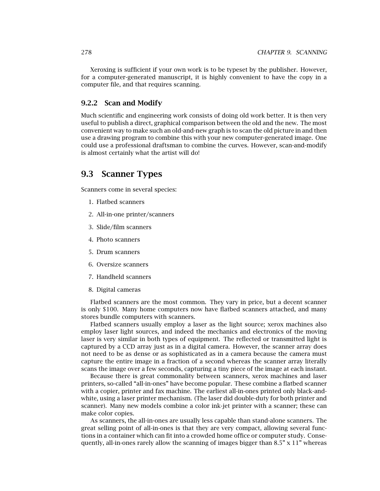Xeroxing is sufficient if your own work is to be typeset by the publisher. However, for a computer-generated manuscript, it is highly convenient to have the copy in a computer file, and that requires scanning.

#### **9.2.2 Scan and Modify**

Much scientific and engineering work consists of doing old work better. It is then very useful to publish a direct, graphical comparison between the old and the new. The most convenient way to make such an old-and-new graph is to scan the old picture in and then use a drawing program to combine this with your new computer-generated image. One could use a professional draftsman to combine the curves. However, scan-and-modify is almost certainly what the artist will do!

# **9.3 Scanner Types**

Scanners come in several species:

- 1. Flatbed scanners
- 2. All-in-one printer/scanners
- 3. Slide/film scanners
- 4. Photo scanners
- 5. Drum scanners
- 6. Oversize scanners
- 7. Handheld scanners
- 8. Digital cameras

Flatbed scanners are the most common. They vary in price, but a decent scanner is only \$100. Many home computers now have flatbed scanners attached, and many stores bundle computers with scanners.

Flatbed scanners usually employ a laser as the light source; xerox machines also employ laser light sources, and indeed the mechanics and electronics of the moving laser is very similar in both types of equipment. The reflected or transmitted light is captured by a CCD array just as in a digital camera. However, the scanner array does not need to be as dense or as sophisticated as in a camera because the camera must capture the entire image in a fraction of a second whereas the scanner array literally scans the image over a few seconds, capturing a tiny piece of the image at each instant.

Because there is great commonality between scanners, xerox machines and laser printers, so-called "all-in-ones" have become popular. These combine a flatbed scanner with a copier, printer and fax machine. The earliest all-in-ones printed only black-andwhite, using a laser printer mechanism. (The laser did double-duty for both printer and scanner). Many new models combine a color ink-jet printer with a scanner; these can make color copies.

As scanners, the all-in-ones are usually less capable than stand-alone scanners. The great selling point of all-in-ones is that they are very compact, allowing several functions in a container which can fit into a crowded home office or computer study. Consequently, all-in-ones rarely allow the scanning of images bigger than  $8.5" \times 11"$  whereas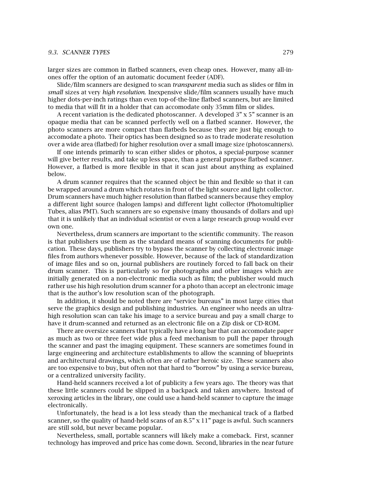#### *9.3. SCANNER TYPES* 279

larger sizes are common in flatbed scanners, even cheap ones. However, many all-inones offer the option of an automatic document feeder (ADF).

Slide/film scanners are designed to scan *transparent* media such as slides or film in *small* sizes at very *high resolution*. Inexpensive slide/film scanners usually have much higher dots-per-inch ratings than even top-of-the-line flatbed scanners, but are limited to media that will fit in a holder that can accomodate only 35mm film or slides.

A recent variation is the dedicated photoscanner. A developed 3" x 5" scanner is an opaque media that can be scanned perfectly well on a flatbed scanner. However, the photo scanners are more compact than flatbeds because they are just big enough to accomodate a photo. Their optics has been designed so as to trade moderate resolution over a wide area (flatbed) for higher resolution over a small image size (photoscanners).

If one intends primarily to scan either slides or photos, a special-purpose scanner will give better results, and take up less space, than a general purpose flatbed scanner. However, a flatbed is more flexible in that it scan just about anything as explained below.

A drum scanner requires that the scanned object be thin and flexible so that it can be wrapped around a drum which rotates in front of the light source and light collector. Drum scanners have much higher resolution than flatbed scanners because they employ a different light source (halogen lamps) and different light collector (Photomultiplier Tubes, alias PMT). Such scanners are so expensive (many thousands of dollars and up) that it is unlikely that an individual scientist or even a large research group would ever own one.

Nevertheless, drum scanners are important to the scientific community. The reason is that publishers use them as the standard means of scanning documents for publication. These days, publishers try to bypass the scanner by collecting electronic image files from authors whenever possible. However, because of the lack of standardization of image files and so on, journal publishers are routinely forced to fall back on their drum scanner. This is particularly so for photographs and other images which are initially generated on a non-electronic media such as film; the publisher would much rather use his high resolution drum scanner for a photo than accept an electronic image that is the author's low resolution scan of the photograph.

In addition, it should be noted there are "service bureaus" in most large cities that serve the graphics design and publishing industries. An engineer who needs an ultrahigh resolution scan can take his image to a service bureau and pay a small charge to have it drum-scanned and returned as an electronic file on a Zip disk or CD-ROM.

There are oversize scanners that typically have a long bar that can accomodate paper as much as two or three feet wide plus a feed mechanism to pull the paper through the scanner and past the imaging equipment. These scanners are sometimes found in large engineering and architecture establishments to allow the scanning of blueprints and architectural drawings, which often are of rather heroic size. These scanners also are too expensive to buy, but often not that hard to "borrow" by using a service bureau, or a centralized university facility.

Hand-held scanners received a lot of publicity a few years ago. The theory was that these little scanners could be slipped in a backpack and taken anywhere. Instead of xeroxing articles in the library, one could use a hand-held scanner to capture the image electronically.

Unfortunately, the head is a lot less steady than the mechanical track of a flatbed scanner, so the quality of hand-held scans of an  $8.5$ "  $\times$  11" page is awful. Such scanners are still sold, but never became popular.

Nevertheless, small, portable scanners will likely make a comeback. First, scanner technology has improved and price has come down. Second, libraries in the near future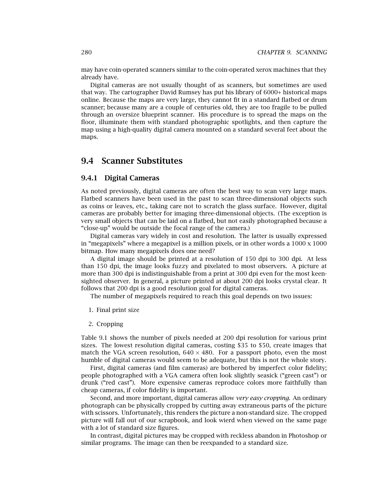may have coin-operated scanners similar to the coin-operated xerox machines that they already have.

Digital cameras are not usually thought of as scanners, but sometimes are used that way. The cartographer David Rumsey has put his library of 6000+ historical maps online. Because the maps are very large, they cannot fit in a standard flatbed or drum scanner; because many are a couple of centuries old, they are too fragile to be pulled through an oversize blueprint scanner. His procedure is to spread the maps on the floor, illuminate them with standard photographic spotlights, and then capture the map using a high-quality digital camera mounted on a standard several feet about the maps.

# **9.4 Scanner Substitutes**

#### **9.4.1 Digital Cameras**

As noted previously, digital cameras are often the best way to scan very large maps. Flatbed scanners have been used in the past to scan three-dimensional objects such as coins or leaves, etc., taking care not to scratch the glass surface. However, digital cameras are probably better for imaging three-dimensional objects. (The exception is very small objects that can be laid on a flatbed, but not easily photographed because a "close-up" would be outside the focal range of the camera.)

Digital cameras vary widely in cost and resolution. The latter is usually expressed in "megapixels" where a megapixel is a million pixels, or in other words a  $1000 \times 1000$ bitmap. How many megapixels does one need?

A digital image should be printed at a resolution of 150 dpi to 300 dpi. At less than 150 dpi, the image looks fuzzy and pixelated to most observers. A picture at more than 300 dpi is indistinguishable from a print at 300 dpi even for the most keensighted observer. In general, a picture printed at about 200 dpi looks crystal clear. It follows that 200 dpi is a good resolution goal for digital cameras.

The number of megapixels required to reach this goal depends on two issues:

- 1. Final print size
- 2. Cropping

Table 9.1 shows the number of pixels needed at 200 dpi resolution for various print sizes. The lowest resolution digital cameras, costing \$35 to \$50, create images that match the VGA screen resolution,  $640 \times 480$ . For a passport photo, even the most humble of digital cameras would seem to be adequate, but this is not the whole story.

First, digital cameras (and film cameras) are bothered by imperfect color fidelity; people photographed with a VGA camera often look slightly seasick ("green cast") or drunk ("red cast"). More expensive cameras reproduce colors more faithfully than cheap cameras, if color fidelity is important.

Second, and more important, digital cameras allow *very easy cropping*. An ordinary photograph can be physically cropped by cutting away extraneous parts of the picture with scissors. Unfortunately, this renders the picture a non-standard size. The cropped picture will fall out of our scrapbook, and look wierd when viewed on the same page with a lot of standard size figures.

In contrast, digital pictures may be cropped with reckless abandon in Photoshop or similar programs. The image can then be reexpanded to a standard size.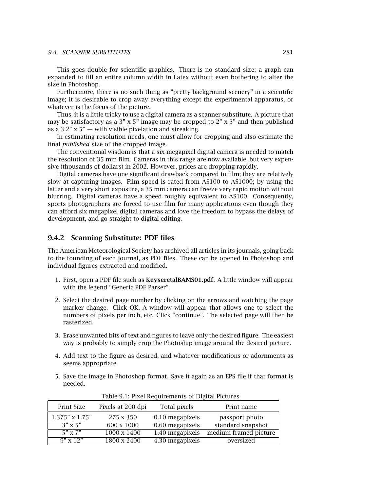#### *9.4. SCANNER SUBSTITUTES* 281

This goes double for scientific graphics. There is no standard size; a graph can expanded to fill an entire column width in Latex without even bothering to alter the size in Photoshop.

Furthermore, there is no such thing as "pretty background scenery" in a scientific image; it is desirable to crop away everything except the experimental apparatus, or whatever is the focus of the picture.

Thus, it is a little tricky to use a digital camera as a scanner substitute. A picture that may be satisfactory as a  $3$ " x  $5$ " image may be cropped to  $2$ " x  $3$ " and then published as a  $3.2$ "  $\times$  5"  $-$  with visible pixelation and streaking.

In estimating resolution needs, one must allow for cropping and also estimate the final *published* size of the cropped image.

The conventional wisdom is that a six-megapixel digital camera is needed to match the resolution of 35 mm film. Cameras in this range are now available, but very expensive (thousands of dollars) in 2002. However, prices are dropping rapidly.

Digital cameras have one significant drawback compared to film; they are relatively slow at capturing images. Film speed is rated from AS100 to AS1000; by using the latter and a very short exposure, a 35 mm camera can freeze very rapid motion without blurring. Digital cameras have a speed roughly equivalent to AS100. Consequently, sports photographers are forced to use film for many applications even though they can afford six megapixel digital cameras and love the freedom to bypass the delays of development, and go straight to digital editing.

#### **9.4.2 Scanning Substitute: PDF files**

The American Meteorological Society has archived all articles in its journals, going back to the founding of each journal, as PDF files. These can be opened in Photoshop and individual figures extracted and modified.

- 1. First, open a PDF file such as **KeyseretalBAMS01.pdf**. A little window will appear with the legend "Generic PDF Parser".
- 2. Select the desired page number by clicking on the arrows and watching the page marker change. Click OK. A window will appear that allows one to select the numbers of pixels per inch, etc. Click "continue". The selected page will then be rasterized.
- 3. Erase unwanted bits of text and figures to leave only the desired figure. The easiest way is probably to simply crop the Photoship image around the desired picture.
- 4. Add text to the figure as desired, and whatever modifications or adornments as seems appropriate.
- 5. Save the image in Photoshop format. Save it again as an EPS file if that format is needed.

| Print Size            | Pixels at 200 dpi        | Total pixels      | Print name            |
|-----------------------|--------------------------|-------------------|-----------------------|
| $1.375" \times 1.75"$ | 275 x 350                | $0.10$ megapixels | passport photo        |
| $3" \times 5"$        | $\sqrt{600} \times 1000$ | 0.60 megapixels   | standard snapshot     |
| $5" \times 7"$        | $1000 \times 1400$       | 1.40 megapixels   | medium framed picture |
| $9'' \times 12''$     | 1800 x 2400              | 4.30 megapixels   | oversized             |

Table 9.1: Pixel Requirements of Digital Pictures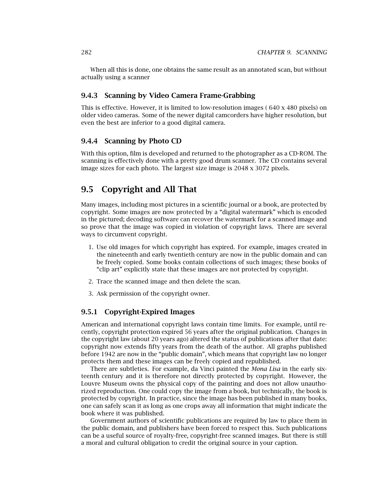When all this is done, one obtains the same result as an annotated scan, but without actually using a scanner

## **9.4.3 Scanning by Video Camera Frame-Grabbing**

This is effective. However, it is limited to low-resolution images ( 640 x 480 pixels) on older video cameras. Some of the newer digital camcorders have higher resolution, but even the best are inferior to a good digital camera.

#### **9.4.4 Scanning by Photo CD**

With this option, film is developed and returned to the photographer as a CD-ROM. The scanning is effectively done with a pretty good drum scanner. The CD contains several image sizes for each photo. The largest size image is 2048 x 3072 pixels.

# **9.5 Copyright and All That**

Many images, including most pictures in a scientific journal or a book, are protected by copyright. Some images are now protected by a "digital watermark" which is encoded in the pictured; decoding software can recover the watermark for a scanned image and so prove that the image was copied in violation of copyright laws. There are several ways to circumvent copyright.

- 1. Use old images for which copyright has expired. For example, images created in the nineteenth and early twentieth century are now in the public domain and can be freely copied. Some books contain collections of such images; these books of "clip art" explicitly state that these images are not protected by copyright.
- 2. Trace the scanned image and then delete the scan.
- 3. Ask permission of the copyright owner.

#### **9.5.1 Copyright-Expired Images**

American and international copyright laws contain time limits. For example, until recently, copyright protection expired 56 years after the original publication. Changes in the copyright law (about 20 years ago) altered the status of publications after that date: copyright now extends fifty years from the death of the author. All graphs published before 1942 are now in the "public domain", which means that copyright law no longer protects them and these images can be freely copied and republished.

There are subtleties. For example, da Vinci painted the *Mona Lisa* in the early sixteenth century and it is therefore not directly protected by copyright. However, the Louvre Museum owns the physical copy of the painting and does not allow unauthorized reproduction. One could copy the image from a book, but technically, the book is protected by copyright. In practice, since the image has been published in many books, one can safely scan it as long as one crops away all information that might indicate the book where it was published.

Government authors of scientific publications are required by law to place them in the public domain, and publishers have been forced to respect this. Such publications can be a useful source of royalty-free, copyright-free scanned images. But there is still a moral and cultural obligation to credit the original source in your caption.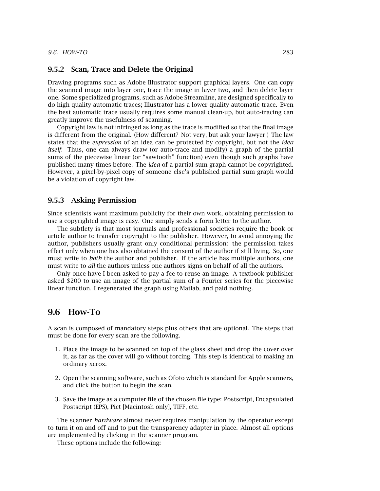#### **9.5.2 Scan, Trace and Delete the Original**

Drawing programs such as Adobe Illustrator support graphical layers. One can copy the scanned image into layer one, trace the image in layer two, and then delete layer one. Some specialized programs, such as Adobe Streamline, are designed specifically to do high quality automatic traces; Illustrator has a lower quality automatic trace. Even the best automatic trace usually requires some manual clean-up, but auto-tracing can greatly improve the usefulness of scanning.

Copyright law is not infringed as long as the trace is modified so that the final image is different from the original. (How different? Not very, but ask your lawyer!) The law states that the *expression* of an idea can be protected by copyright, but not the *idea itself*. Thus, one can always draw (or auto-trace and modify) a graph of the partial sums of the piecewise linear (or "sawtooth" function) even though such graphs have published many times before. The *idea* of a partial sum graph cannot be copyrighted. However, a pixel-by-pixel copy of someone else's published partial sum graph would be a violation of copyright law.

#### **9.5.3 Asking Permission**

Since scientists want maximum publicity for their own work, obtaining permission to use a copyrighted image is easy. One simply sends a form letter to the author.

The subtlety is that most journals and professional societies require the book or article author to transfer copyright to the publisher. However, to avoid annoying the author, publishers usually grant only conditional permission: the permission takes effect only when one has also obtained the consent of the author if still living. So, one must write to *both* the author and publisher. If the article has multiple authors, one must write to *all* the authors unless one authors signs on behalf of all the authors.

Only once have I been asked to pay a fee to reuse an image. A textbook publisher asked \$200 to use an image of the partial sum of a Fourier series for the piecewise linear function. I regenerated the graph using Matlab, and paid nothing.

# **9.6 How-To**

A scan is composed of mandatory steps plus others that are optional. The steps that must be done for every scan are the following.

- 1. Place the image to be scanned on top of the glass sheet and drop the cover over it, as far as the cover will go without forcing. This step is identical to making an ordinary xerox.
- 2. Open the scanning software, such as Ofoto which is standard for Apple scanners, and click the button to begin the scan.
- 3. Save the image as a computer file of the chosen file type: Postscript, Encapsulated Postscript (EPS), Pict [Macintosh only], TIFF, etc.

The scanner *hardware* almost never requires manipulation by the operator except to turn it on and off and to put the transparency adapter in place. Almost all options are implemented by clicking in the scanner program.

These options include the following: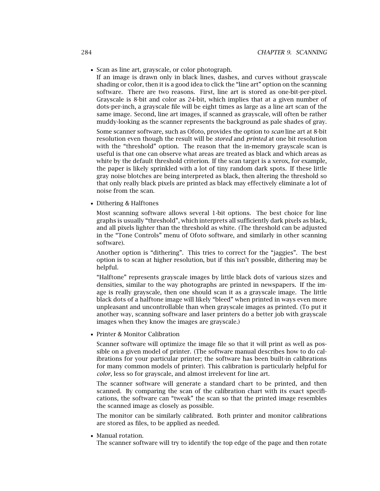• Scan as line art, grayscale, or color photograph.

If an image is drawn only in black lines, dashes, and curves without grayscale shading or color, then it is a good idea to click the "line art" option on the scanning software. There are two reasons. First, line art is stored as one-bit-per-pixel. Grayscale is 8-bit and color as 24-bit, which implies that at a given number of dots-per-inch, a grayscale file will be eight times as large as a line art scan of the same image. Second, line art images, if scanned as grayscale, will often be rather muddy-looking as the scanner represents the background as pale shades of gray.

Some scanner software, such as Ofoto, provides the option to *scan* line art at 8-bit resolution even though the result will be *stored* and *printed* at one bit resolution with the "threshold" option. The reason that the in-memory grayscale scan is useful is that one can observe what areas are treated as black and which areas as white by the default threshold criterion. If the scan target is a xerox, for example, the paper is likely sprinkled with a lot of tiny random dark spots. If these little gray noise blotches are being interpreted as black, then altering the threshold so that only really black pixels are printed as black may effectively eliminate a lot of noise from the scan.

• Dithering & Halftones

Most scanning software allows several 1-bit options. The best choice for line graphs is usually "threshold", which interprets all sufficiently dark pixels as black, and all pixels lighter than the threshold as white. (The threshold can be adjusted in the "Tone Controls" menu of Ofoto software, and similarly in other scanning software).

Another option is "dithering". This tries to correct for the "jaggies". The best option is to scan at higher resolution, but if this isn't possible, dithering may be helpful.

"Halftone" represents grayscale images by little black dots of various sizes and densities, similar to the way photographs are printed in newspapers. If the image is really grayscale, then one should scan it as a grayscale image. The little black dots of a halftone image will likely "bleed" when printed in ways even more unpleasant and uncontrollable than when grayscale images as printed. (To put it another way, scanning software and laser printers do a better job with grayscale images when they know the images are grayscale.)

• Printer & Monitor Calibration

Scanner software will optimize the image file so that it will print as well as possible on a given model of printer. (The software manual describes how to do calibrations for your particular printer; the software has been built-in calibrations for many common models of printer). This calibration is particularly helpful for *color*, less so for grayscale, and almost irrelevent for line art.

The scanner software will generate a standard chart to be printed, and then scanned. By comparing the scan of the calibration chart with its exact specifications, the software can "tweak" the scan so that the printed image resembles the scanned image as closely as possible.

The monitor can be similarly calibrated. Both printer and monitor calibrations are stored as files, to be applied as needed.

• Manual rotation.

The scanner software will try to identify the top edge of the page and then rotate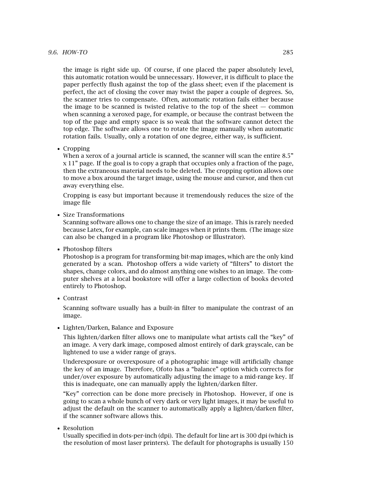the image is right side up. Of course, if one placed the paper absolutely level, this automatic rotation would be unnecessary. However, it is difficult to place the paper perfectly flush against the top of the glass sheet; even if the placement is perfect, the act of closing the cover may twist the paper a couple of degrees. So, the scanner tries to compensate. Often, automatic rotation fails either because the image to be scanned is twisted relative to the top of the sheet  $-$  common when scanning a xeroxed page, for example, or because the contrast between the top of the page and empty space is so weak that the software cannot detect the top edge. The software allows one to rotate the image manually when automatic rotation fails. Usually, only a rotation of one degree, either way, is sufficient.

• Cropping

When a xerox of a journal article is scanned, the scanner will scan the entire 8.5" x 11" page. If the goal is to copy a graph that occupies only a fraction of the page, then the extraneous material needs to be deleted. The cropping option allows one to move a box around the target image, using the mouse and cursor, and then cut away everything else.

Cropping is easy but important because it tremendously reduces the size of the image file

• Size Transformations

Scanning software allows one to change the size of an image. This is rarely needed because Latex, for example, can scale images when it prints them. (The image size can also be changed in a program like Photoshop or Illustrator).

• Photoshop filters

Photoshop is a program for transforming bit-map images, which are the only kind generated by a scan. Photoshop offers a wide variety of "filters" to distort the shapes, change colors, and do almost anything one wishes to an image. The computer shelves at a local bookstore will offer a large collection of books devoted entirely to Photoshop.

• Contrast

Scanning software usually has a built-in filter to manipulate the contrast of an image.

• Lighten/Darken, Balance and Exposure

This lighten/darken filter allows one to manipulate what artists call the "key" of an image. A very dark image, composed almost entirely of dark grayscale, can be lightened to use a wider range of grays.

Underexposure or overexposure of a photographic image will artificially change the key of an image. Therefore, Ofoto has a "balance" option which corrects for under/over exposure by automatically adjusting the image to a mid-range key. If this is inadequate, one can manually apply the lighten/darken filter.

"Key" correction can be done more precisely in Photoshop. However, if one is going to scan a whole bunch of very dark or very light images, it may be useful to adjust the default on the scanner to automatically apply a lighten/darken filter, if the scanner software allows this.

• Resolution

Usually specified in dots-per-inch (dpi). The default for line art is 300 dpi (which is the resolution of most laser printers). The default for photographs is usually 150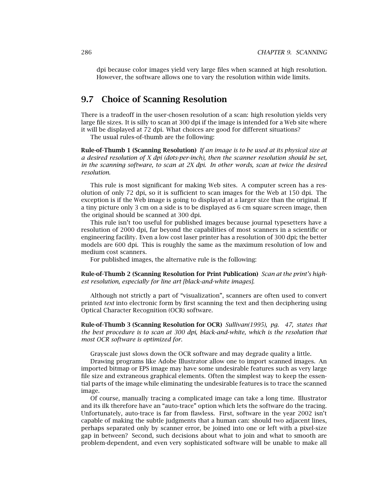dpi because color images yield very large files when scanned at high resolution. However, the software allows one to vary the resolution within wide limits.

# **9.7 Choice of Scanning Resolution**

There is a tradeoff in the user-chosen resolution of a scan: high resolution yields very large file sizes. It is silly to scan at 300 dpi if the image is intended for a Web site where it will be displayed at 72 dpi. What choices are good for different situations?

The usual rules-of-thumb are the following:

**Rule-of-Thumb 1 (Scanning Resolution)** *If an image is to be used at its physical size at a desired resolution of X dpi (dots-per-inch), then the scanner resolution should be set, in the scanning software, to scan at 2X dpi. In other words, scan at twice the desired resolution.*

This rule is most significant for making Web sites. A computer screen has a resolution of only 72 dpi, so it is sufficient to scan images for the Web at 150 dpi. The exception is if the Web image is going to displayed at a larger size than the original. If a tiny picture only 3 cm on a side is to be displayed as 6 cm square screen image, then the original should be scanned at 300 dpi.

This rule isn't too useful for published images because journal typesetters have a resolution of 2000 dpi, far beyond the capabilities of most scanners in a scientific or engineering facility. Even a low cost laser printer has a resolution of 300 dpi; the better models are 600 dpi. This is roughly the same as the maximum resolution of low and medium cost scanners.

For published images, the alternative rule is the following:

**Rule-of-Thumb 2 (Scanning Resolution for Print Publication)** *Scan at the print's high*est resolution, especially for line art *[black-and-white images]*.

Although not strictly a part of "visualization", scanners are often used to convert printed *text* into electronic form by first scanning the text and then deciphering using Optical Character Recognition (OCR) software.

**Rule-of-Thumb 3 (Scanning Resolution for OCR)** *Sullivan(1995), pq. 47, states that the best procedure is to scan at 300 dpi, black-and-white, which is the resolution that most OCR software is optimized for.*

Grayscale just slows down the OCR software and may degrade quality a little.

Drawing programs like Adobe Illustrator allow one to import scanned images. An imported bitmap or EPS image may have some undesirable features such as very large file size and extraneous graphical elements. Often the simplest way to keep the essential parts of the image while eliminating the undesirable features is to trace the scanned image.

Of course, manually tracing a complicated image can take a long time. Illustrator and its ilk therefore have an "auto-trace" option which lets the software do the tracing. Unfortunately, auto-trace is far from flawless. First, software in the year 2002 isn't capable of making the subtle judgments that a human can: should two adjacent lines, perhaps separated only by scanner error, be joined into one or left with a pixel-size gap in between? Second, such decisions about what to join and what to smooth are problem-dependent, and even very sophisticated software will be unable to make all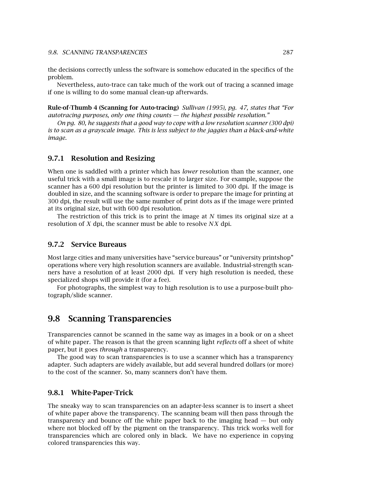the decisions correctly unless the software is somehow educated in the specifics of the problem.

Nevertheless, auto-trace can take much of the work out of tracing a scanned image if one is willing to do some manual clean-up afterwards.

**Rule-of-Thumb 4 (Scanning for Auto-tracing)** *Sullivan (1995), pg. 47, states that "For autotracing purposes, only one thing counts – the highest possible resolution."* 

*On pg. 80,he suggests that a good way to cope with a low resolution scanner (300 dpi) is to scan as a grayscale image. This is less subject to the jaggies than a black-and-white image.*

#### **9.7.1 Resolution and Resizing**

When one is saddled with a printer which has *lower* resolution than the scanner, one useful trick with a small image is to rescale it to larger size. For example, suppose the scanner has a 600 dpi resolution but the printer is limited to 300 dpi. If the image is doubled in size, and the scanning software is order to prepare the image for printing at 300 dpi, the result will use the same number of print dots as if the image were printed at its original size, but with 600 dpi resolution.

The restriction of this trick is to print the image at *N* times its original size at a resolution of *X* dpi, the scanner must be able to resolve *NX* dpi.

#### **9.7.2 Service Bureaus**

Most large cities and many universities have "service bureaus" or "university printshop" operations where very high resolution scanners are available. Industrial-strength scanners have a resolution of at least 2000 dpi. If very high resolution is needed, these specialized shops will provide it (for a fee).

For photographs, the simplest way to high resolution is to use a purpose-built photograph/slide scanner.

# **9.8 Scanning Transparencies**

Transparencies cannot be scanned in the same way as images in a book or on a sheet of white paper. The reason is that the green scanning light *reflects* off a sheet of white paper, but it goes *through* a transparency.

The good way to scan transparencies is to use a scanner which has a transparency adapter. Such adapters are widely available, but add several hundred dollars (or more) to the cost of the scanner. So, many scanners don't have them.

#### **9.8.1 White-Paper-Trick**

The sneaky way to scan transparencies on an adapter-less scanner is to insert a sheet of white paper above the transparency. The scanning beam will then pass through the transparency and bounce off the white paper back to the imaging head — but only where not blocked off by the pigment on the transparency. This trick works well for transparencies which are colored only in black. We have no experience in copying colored transparencies this way.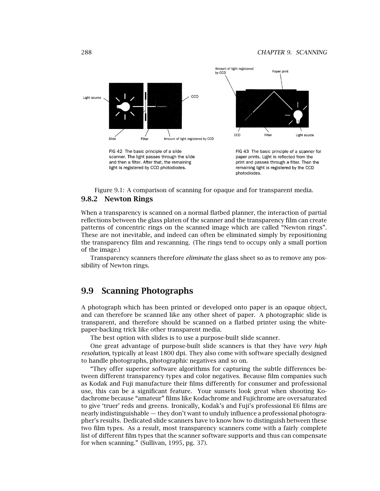

Figure 9.1: A comparison of scanning for opaque and for transparent media.

#### **9.8.2 Newton Rings**

When a transparency is scanned on a normal flatbed planner, the interaction of partial reflections between the glass platen of the scanner and the transparency film can create patterns of concentric rings on the scanned image which are called "Newton rings". These are not inevitable, and indeed can often be eliminated simply by repositioning the transparency film and rescanning. (The rings tend to occupy only a small portion of the image.)

Transparency scanners therefore *eliminate* the glass sheet so as to remove any possibility of Newton rings.

# **9.9 Scanning Photographs**

A photograph which has been printed or developed onto paper is an opaque object, and can therefore be scanned like any other sheet of paper. A photographic slide is transparent, and therefore should be scanned on a flatbed printer using the whitepaper-backing trick like other transparent media.

The best option with slides is to use a purpose-built slide scanner.

One great advantage of purpose-built slide scanners is that they have *very high resolution*, typically at least 1800 dpi. They also come with software specially designed to handle photographs, photographic negatives and so on.

"They offer superior software algorithms for capturing the subtle differences between different transparency types and color negatives. Because film companies such as Kodak and Fuji manufacture their films differently for consumer and professional use, this can be a significant feature. Your sunsets look great when shooting Kodachrome because "amateur" films like Kodachrome and Fujichrome are oversaturated to give 'truer' reds and greens. Ironically, Kodak's and Fuji's professional E6 films are nearly indistinguishable — they don't want to unduly influence a professional photographer's results. Dedicated slide scanners have to know how to distinguish between these two film types. As a result, most transparency scanners come with a fairly complete list of different film types that the scanner software supports and thus can compensate for when scanning." (Sullivan, 1995, pg. 37).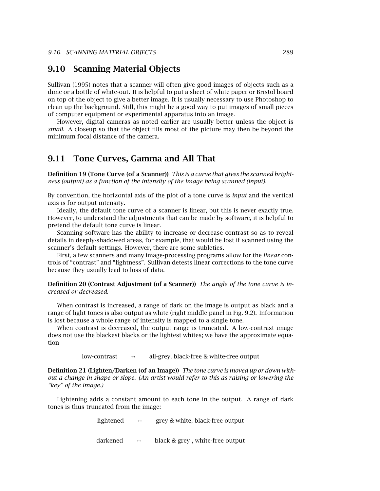# **9.10 Scanning Material Objects**

Sullivan (1995) notes that a scanner will often give good images of objects such as a dime or a bottle of white-out. It is helpful to put a sheet of white paper or Bristol board on top of the object to give a better image. It is usually necessary to use Photoshop to clean up the background. Still, this might be a good way to put images of small pieces of computer equipment or experimental apparatus into an image.

However, digital cameras as noted earlier are usually better unless the object is *small*. A closeup so that the object fills most of the picture may then be beyond the minimum focal distance of the camera.

## **9.11 Tone Curves, Gamma and All That**

**Definition 19 (Tone Curve (of a Scanner))** *This is a curve that gives the scanned brightness (output) as a function of the intensity of the image being scanned (input).*

By convention, the horizontal axis of the plot of a tone curve is *input* and the vertical axis is for output intensity.

Ideally, the default tone curve of a scanner is linear, but this is never exactly true. However, to understand the adjustments that can be made by software, it is helpful to pretend the default tone curve is linear.

Scanning software has the ability to increase or decrease contrast so as to reveal details in deeply-shadowed areas, for example, that would be lost if scanned using the scanner's default settings. However, there are some subleties.

First, a few scanners and many image-processing programs allow for the *linear* controls of "contrast" and "lightness". Sullivan detests linear corrections to the tone curve because they usually lead to loss of data.

**Definition 20 (Contrast Adjustment (of a Scanner))** *The angle of the tone curve is increased or decreased.*

When contrast is increased, a range of dark on the image is output as black and a range of light tones is also output as white (right middle panel in Fig. 9.2). Information is lost because a whole range of intensity is mapped to a single tone.

When contrast is decreased, the output range is truncated. A low-contrast image does not use the blackest blacks or the lightest whites; we have the approximate equation

low-contrast  $\leftrightarrow$  all-grey, black-free & white-free output

**Definition 21 (Lighten/Darken (of an Image))** *The tone curve is moved up or down without a change in shape or slope. (An artist would refer to this as raising or lowering the "key" of the image.)*

Lightening adds a constant amount to each tone in the output. A range of dark tones is thus truncated from the image:

> lightened  $\leftrightarrow$  grey & white, black-free output darkened  $\leftrightarrow$  black & grey, white-free output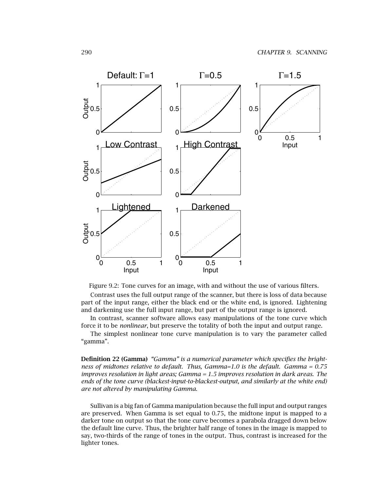

Figure 9.2: Tone curves for an image, with and without the use of various filters.

Contrast uses the full output range of the scanner, but there is loss of data because part of the input range, either the black end or the white end, is ignored. Lightening and darkening use the full input range, but part of the output range is ignored.

In contrast, scanner software allows easy manipulations of the tone curve which force it to be *nonlinear*, but preserve the totality of both the input and output range.

The simplest nonlinear tone curve manipulation is to vary the parameter called "gamma".

**Definition 22 (Gamma)** *"Gamma" is a numerical parameter which specifies the brightness of midtones relative to default. Thus,Gamma=1.0 is the default. Gamma = 0.75 improves resolution in light areas; Gamma = 1.5 improves resolution in dark areas. The ends of the tone curve (blackest-input-to-blackest-output,and similarly at the white end) are not altered by manipulating Gamma.*

Sullivan is a big fan of Gamma manipulation because the full input and output ranges are preserved. When Gamma is set equal to 0.75, the midtone input is mapped to a darker tone on output so that the tone curve becomes a parabola dragged down below the default line curve. Thus, the brighter half range of tones in the image is mapped to say, two-thirds of the range of tones in the output. Thus, contrast is increased for the lighter tones.